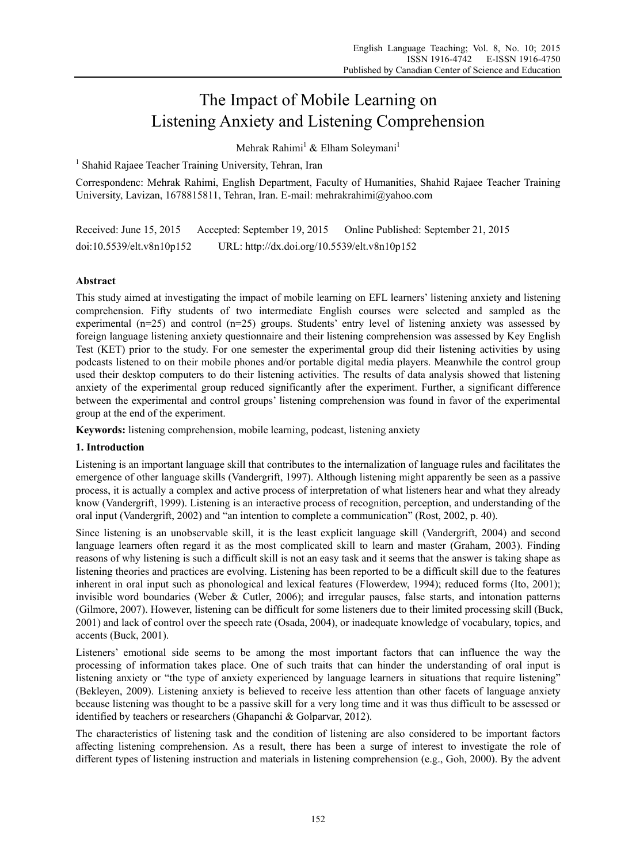# The Impact of Mobile Learning on Listening Anxiety and Listening Comprehension

Mehrak Rahimi<sup>1</sup> & Elham Soleymani<sup>1</sup>

<sup>1</sup> Shahid Rajaee Teacher Training University, Tehran, Iran

Correspondenc: Mehrak Rahimi, English Department, Faculty of Humanities, Shahid Rajaee Teacher Training University, Lavizan, 1678815811, Tehran, Iran. E-mail: mehrakrahimi@yahoo.com

Received: June 15, 2015 Accepted: September 19, 2015 Online Published: September 21, 2015 doi:10.5539/elt.v8n10p152 URL: http://dx.doi.org/10.5539/elt.v8n10p152

# **Abstract**

This study aimed at investigating the impact of mobile learning on EFL learners' listening anxiety and listening comprehension. Fifty students of two intermediate English courses were selected and sampled as the experimental (n=25) and control (n=25) groups. Students' entry level of listening anxiety was assessed by foreign language listening anxiety questionnaire and their listening comprehension was assessed by Key English Test (KET) prior to the study. For one semester the experimental group did their listening activities by using podcasts listened to on their mobile phones and/or portable digital media players. Meanwhile the control group used their desktop computers to do their listening activities. The results of data analysis showed that listening anxiety of the experimental group reduced significantly after the experiment. Further, a significant difference between the experimental and control groups' listening comprehension was found in favor of the experimental group at the end of the experiment.

**Keywords:** listening comprehension, mobile learning, podcast, listening anxiety

# **1. Introduction**

Listening is an important language skill that contributes to the internalization of language rules and facilitates the emergence of other language skills (Vandergrift, 1997). Although listening might apparently be seen as a passive process, it is actually a complex and active process of interpretation of what listeners hear and what they already know (Vandergrift, 1999). Listening is an interactive process of recognition, perception, and understanding of the oral input (Vandergrift, 2002) and "an intention to complete a communication" (Rost, 2002, p. 40).

Since listening is an unobservable skill, it is the least explicit language skill (Vandergrift, 2004) and second language learners often regard it as the most complicated skill to learn and master (Graham, 2003). Finding reasons of why listening is such a difficult skill is not an easy task and it seems that the answer is taking shape as listening theories and practices are evolving. Listening has been reported to be a difficult skill due to the features inherent in oral input such as phonological and lexical features (Flowerdew, 1994); reduced forms (Ito, 2001); invisible word boundaries (Weber & Cutler, 2006); and irregular pauses, false starts, and intonation patterns (Gilmore, 2007). However, listening can be difficult for some listeners due to their limited processing skill (Buck, 2001) and lack of control over the speech rate (Osada, 2004), or inadequate knowledge of vocabulary, topics, and accents (Buck, 2001).

Listeners' emotional side seems to be among the most important factors that can influence the way the processing of information takes place. One of such traits that can hinder the understanding of oral input is listening anxiety or "the type of anxiety experienced by language learners in situations that require listening" (Bekleyen, 2009). Listening anxiety is believed to receive less attention than other facets of language anxiety because listening was thought to be a passive skill for a very long time and it was thus difficult to be assessed or identified by teachers or researchers (Ghapanchi & Golparvar, 2012).

The characteristics of listening task and the condition of listening are also considered to be important factors affecting listening comprehension. As a result, there has been a surge of interest to investigate the role of different types of listening instruction and materials in listening comprehension (e.g., Goh, 2000). By the advent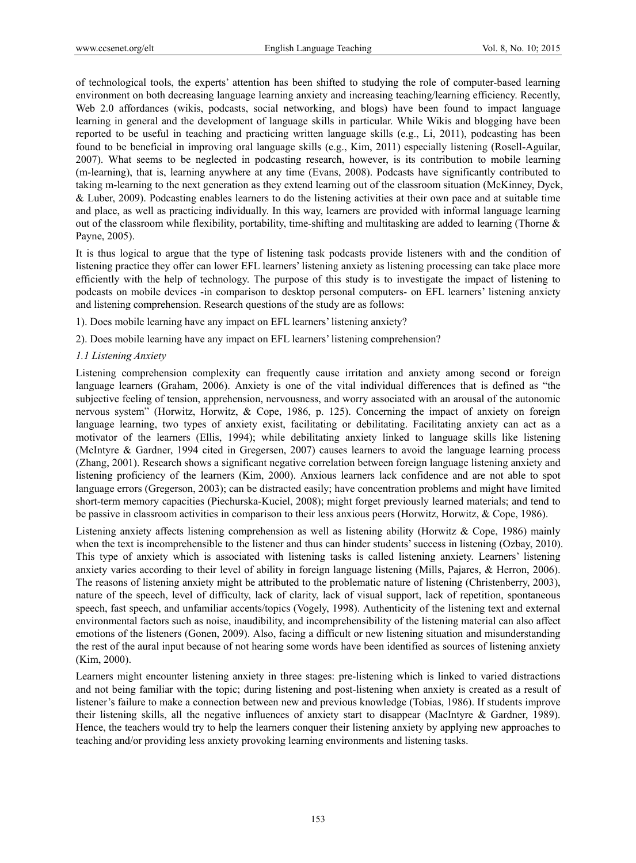of technological tools, the experts' attention has been shifted to studying the role of computer-based learning environment on both decreasing language learning anxiety and increasing teaching/learning efficiency. Recently, Web 2.0 affordances (wikis, podcasts, social networking, and blogs) have been found to impact language learning in general and the development of language skills in particular. While Wikis and blogging have been reported to be useful in teaching and practicing written language skills (e.g., Li, 2011), podcasting has been found to be beneficial in improving oral language skills (e.g., Kim, 2011) especially listening (Rosell-Aguilar, 2007). What seems to be neglected in podcasting research, however, is its contribution to mobile learning (m-learning), that is, learning anywhere at any time (Evans, 2008). Podcasts have significantly contributed to taking m-learning to the next generation as they extend learning out of the classroom situation (McKinney, Dyck, & Luber, 2009). Podcasting enables learners to do the listening activities at their own pace and at suitable time and place, as well as practicing individually. In this way, learners are provided with informal language learning out of the classroom while flexibility, portability, time-shifting and multitasking are added to learning (Thorne  $\&$ Payne, 2005).

It is thus logical to argue that the type of listening task podcasts provide listeners with and the condition of listening practice they offer can lower EFL learners' listening anxiety as listening processing can take place more efficiently with the help of technology. The purpose of this study is to investigate the impact of listening to podcasts on mobile devices -in comparison to desktop personal computers- on EFL learners' listening anxiety and listening comprehension. Research questions of the study are as follows:

1). Does mobile learning have any impact on EFL learners' listening anxiety?

2). Does mobile learning have any impact on EFL learners' listening comprehension?

#### *1.1 Listening Anxiety*

Listening comprehension complexity can frequently cause irritation and anxiety among second or foreign language learners (Graham, 2006). Anxiety is one of the vital individual differences that is defined as "the subjective feeling of tension, apprehension, nervousness, and worry associated with an arousal of the autonomic nervous system" (Horwitz, Horwitz, & Cope, 1986, p. 125). Concerning the impact of anxiety on foreign language learning, two types of anxiety exist, facilitating or debilitating. Facilitating anxiety can act as a motivator of the learners (Ellis, 1994); while debilitating anxiety linked to language skills like listening (McIntyre & Gardner, 1994 cited in Gregersen, 2007) causes learners to avoid the language learning process (Zhang, 2001). Research shows a significant negative correlation between foreign language listening anxiety and listening proficiency of the learners (Kim, 2000). Anxious learners lack confidence and are not able to spot language errors (Gregerson, 2003); can be distracted easily; have concentration problems and might have limited short-term memory capacities (Piechurska-Kuciel, 2008); might forget previously learned materials; and tend to be passive in classroom activities in comparison to their less anxious peers (Horwitz, Horwitz, & Cope, 1986).

Listening anxiety affects listening comprehension as well as listening ability (Horwitz & Cope, 1986) mainly when the text is incomprehensible to the listener and thus can hinder students' success in listening (Ozbay, 2010). This type of anxiety which is associated with listening tasks is called listening anxiety. Learners' listening anxiety varies according to their level of ability in foreign language listening (Mills, Pajares, & Herron, 2006). The reasons of listening anxiety might be attributed to the problematic nature of listening (Christenberry, 2003), nature of the speech, level of difficulty, lack of clarity, lack of visual support, lack of repetition, spontaneous speech, fast speech, and unfamiliar accents/topics (Vogely, 1998). Authenticity of the listening text and external environmental factors such as noise, inaudibility, and incomprehensibility of the listening material can also affect emotions of the listeners (Gonen, 2009). Also, facing a difficult or new listening situation and misunderstanding the rest of the aural input because of not hearing some words have been identified as sources of listening anxiety (Kim, 2000).

Learners might encounter listening anxiety in three stages: pre-listening which is linked to varied distractions and not being familiar with the topic; during listening and post-listening when anxiety is created as a result of listener's failure to make a connection between new and previous knowledge (Tobias, 1986). If students improve their listening skills, all the negative influences of anxiety start to disappear (MacIntyre & Gardner, 1989). Hence, the teachers would try to help the learners conquer their listening anxiety by applying new approaches to teaching and/or providing less anxiety provoking learning environments and listening tasks.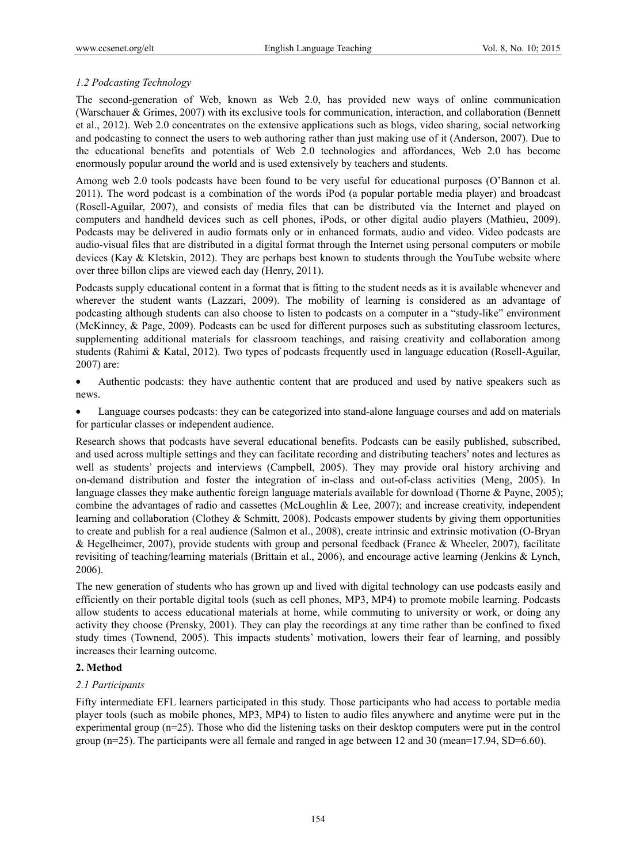## *1.2 Podcasting Technology*

The second-generation of Web, known as Web 2.0, has provided new ways of online communication (Warschauer & Grimes, 2007) with its exclusive tools for communication, interaction, and collaboration (Bennett et al., 2012). Web 2.0 concentrates on the extensive applications such as blogs, video sharing, social networking and podcasting to connect the users to web authoring rather than just making use of it (Anderson, 2007). Due to the educational benefits and potentials of Web 2.0 technologies and affordances, Web 2.0 has become enormously popular around the world and is used extensively by teachers and students.

Among web 2.0 tools podcasts have been found to be very useful for educational purposes (O'Bannon et al. 2011). The word podcast is a combination of the words iPod (a popular portable media player) and broadcast (Rosell-Aguilar, 2007), and consists of media files that can be distributed via the Internet and played on computers and handheld devices such as cell phones, iPods, or other digital audio players (Mathieu, 2009). Podcasts may be delivered in audio formats only or in enhanced formats, audio and video. Video podcasts are audio-visual files that are distributed in a digital format through the Internet using personal computers or mobile devices (Kay & Kletskin, 2012). They are perhaps best known to students through the YouTube website where over three billon clips are viewed each day (Henry, 2011).

Podcasts supply educational content in a format that is fitting to the student needs as it is available whenever and wherever the student wants (Lazzari, 2009). The mobility of learning is considered as an advantage of podcasting although students can also choose to listen to podcasts on a computer in a "study-like" environment (McKinney, & Page, 2009). Podcasts can be used for different purposes such as substituting classroom lectures, supplementing additional materials for classroom teachings, and raising creativity and collaboration among students (Rahimi & Katal, 2012). Two types of podcasts frequently used in language education (Rosell-Aguilar, 2007) are:

 Authentic podcasts: they have authentic content that are produced and used by native speakers such as news.

 Language courses podcasts: they can be categorized into stand-alone language courses and add on materials for particular classes or independent audience.

Research shows that podcasts have several educational benefits. Podcasts can be easily published, subscribed, and used across multiple settings and they can facilitate recording and distributing teachers' notes and lectures as well as students' projects and interviews (Campbell, 2005). They may provide oral history archiving and on-demand distribution and foster the integration of in-class and out-of-class activities (Meng, 2005). In language classes they make authentic foreign language materials available for download (Thorne & Payne, 2005); combine the advantages of radio and cassettes (McLoughlin & Lee, 2007); and increase creativity, independent learning and collaboration (Clothey & Schmitt, 2008). Podcasts empower students by giving them opportunities to create and publish for a real audience (Salmon et al., 2008), create intrinsic and extrinsic motivation (O-Bryan & Hegelheimer, 2007), provide students with group and personal feedback (France & Wheeler, 2007), facilitate revisiting of teaching/learning materials (Brittain et al., 2006), and encourage active learning (Jenkins & Lynch, 2006).

The new generation of students who has grown up and lived with digital technology can use podcasts easily and efficiently on their portable digital tools (such as cell phones, MP3, MP4) to promote mobile learning. Podcasts allow students to access educational materials at home, while commuting to university or work, or doing any activity they choose (Prensky, 2001). They can play the recordings at any time rather than be confined to fixed study times (Townend, 2005). This impacts students' motivation, lowers their fear of learning, and possibly increases their learning outcome.

## **2. Method**

## *2.1 Participants*

Fifty intermediate EFL learners participated in this study. Those participants who had access to portable media player tools (such as mobile phones, MP3, MP4) to listen to audio files anywhere and anytime were put in the experimental group (n=25). Those who did the listening tasks on their desktop computers were put in the control group ( $n=25$ ). The participants were all female and ranged in age between 12 and 30 (mean=17.94, SD=6.60).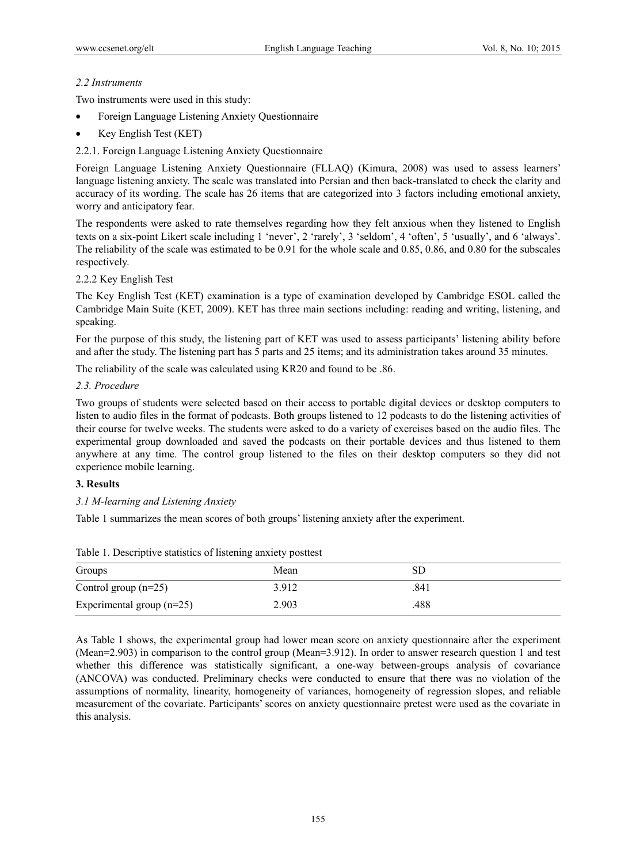# *2.2 Instruments*

Two instruments were used in this study:

- Foreign Language Listening Anxiety Questionnaire
- Key English Test (KET)
- 2.2.1. Foreign Language Listening Anxiety Questionnaire

Foreign Language Listening Anxiety Questionnaire (FLLAQ) (Kimura, 2008) was used to assess learners' language listening anxiety. The scale was translated into Persian and then back-translated to check the clarity and accuracy of its wording. The scale has 26 items that are categorized into 3 factors including emotional anxiety, worry and anticipatory fear.

The respondents were asked to rate themselves regarding how they felt anxious when they listened to English texts on a six-point Likert scale including 1 'never', 2 'rarely', 3 'seldom', 4 'often', 5 'usually', and 6 'always'. The reliability of the scale was estimated to be 0.91 for the whole scale and 0.85, 0.86, and 0.80 for the subscales respectively.

# 2.2.2 Key English Test

The Key English Test (KET) examination is a type of examination developed by Cambridge ESOL called the Cambridge Main Suite (KET, 2009). KET has three main sections including: reading and writing, listening, and speaking.

For the purpose of this study, the listening part of KET was used to assess participants' listening ability before and after the study. The listening part has 5 parts and 25 items; and its administration takes around 35 minutes.

The reliability of the scale was calculated using KR20 and found to be .86.

## *2.3. Procedure*

Two groups of students were selected based on their access to portable digital devices or desktop computers to listen to audio files in the format of podcasts. Both groups listened to 12 podcasts to do the listening activities of their course for twelve weeks. The students were asked to do a variety of exercises based on the audio files. The experimental group downloaded and saved the podcasts on their portable devices and thus listened to them anywhere at any time. The control group listened to the files on their desktop computers so they did not experience mobile learning.

# **3. Results**

*3.1 M-learning and Listening Anxiety* 

Table 1 summarizes the mean scores of both groups' listening anxiety after the experiment.

| Groups                      | Mean  | SD   |  |
|-----------------------------|-------|------|--|
| Control group $(n=25)$      | 3.912 | .841 |  |
| Experimental group $(n=25)$ | 2.903 | .488 |  |

Table 1. Descriptive statistics of listening anxiety posttest

As Table 1 shows, the experimental group had lower mean score on anxiety questionnaire after the experiment (Mean=2.903) in comparison to the control group (Mean=3.912). In order to answer research question 1 and test whether this difference was statistically significant, a one-way between-groups analysis of covariance (ANCOVA) was conducted. Preliminary checks were conducted to ensure that there was no violation of the assumptions of normality, linearity, homogeneity of variances, homogeneity of regression slopes, and reliable measurement of the covariate. Participants' scores on anxiety questionnaire pretest were used as the covariate in this analysis.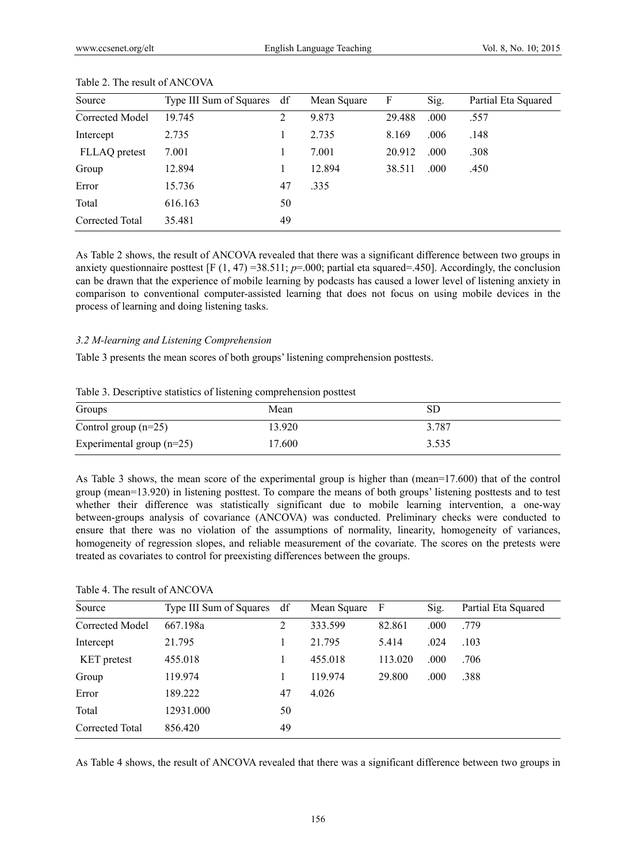| Source          | Type III Sum of Squares df |    | Mean Square | F      | Sig. | Partial Eta Squared |
|-----------------|----------------------------|----|-------------|--------|------|---------------------|
| Corrected Model | 19.745                     | 2  | 9.873       | 29.488 | .000 | .557                |
| Intercept       | 2.735                      |    | 2.735       | 8.169  | .006 | .148                |
| FLLAQ pretest   | 7.001                      |    | 7.001       | 20.912 | .000 | .308                |
| Group           | 12.894                     |    | 12.894      | 38.511 | .000 | .450                |
| Error           | 15.736                     | 47 | .335        |        |      |                     |
| Total           | 616.163                    | 50 |             |        |      |                     |
| Corrected Total | 35.481                     | 49 |             |        |      |                     |

#### Table 2. The result of ANCOVA

As Table 2 shows, the result of ANCOVA revealed that there was a significant difference between two groups in anxiety questionnaire posttest  $[F(1, 47) = 38.511; p = .000;$  partial eta squared=.450]. Accordingly, the conclusion can be drawn that the experience of mobile learning by podcasts has caused a lower level of listening anxiety in comparison to conventional computer-assisted learning that does not focus on using mobile devices in the process of learning and doing listening tasks.

#### *3.2 M-learning and Listening Comprehension*

Table 3 presents the mean scores of both groups' listening comprehension posttests.

|  |  | Table 3. Descriptive statistics of listening comprehension posttest |  |
|--|--|---------------------------------------------------------------------|--|
|  |  |                                                                     |  |
|  |  |                                                                     |  |
|  |  |                                                                     |  |

| Groups                      | Mean   | SD    |
|-----------------------------|--------|-------|
| Control group $(n=25)$      | 13.920 | 3.787 |
| Experimental group $(n=25)$ | 17.600 | 3.535 |

As Table 3 shows, the mean score of the experimental group is higher than (mean=17.600) that of the control group (mean=13.920) in listening posttest. To compare the means of both groups' listening posttests and to test whether their difference was statistically significant due to mobile learning intervention, a one-way between-groups analysis of covariance (ANCOVA) was conducted. Preliminary checks were conducted to ensure that there was no violation of the assumptions of normality, linearity, homogeneity of variances, homogeneity of regression slopes, and reliable measurement of the covariate. The scores on the pretests were treated as covariates to control for preexisting differences between the groups.

## Table 4. The result of ANCOVA

| Source             | Type III Sum of Squares df |    | Mean Square F |         | Sig. | Partial Eta Squared |
|--------------------|----------------------------|----|---------------|---------|------|---------------------|
| Corrected Model    | 667.198a                   | 2  | 333.599       | 82.861  | .000 | .779                |
| Intercept          | 21.795                     |    | 21.795        | 5.414   | .024 | .103                |
| <b>KET</b> pretest | 455.018                    |    | 455.018       | 113.020 | .000 | .706                |
| Group              | 119.974                    |    | 119.974       | 29.800  | .000 | .388                |
| Error              | 189.222                    | 47 | 4.026         |         |      |                     |
| Total              | 12931.000                  | 50 |               |         |      |                     |
| Corrected Total    | 856.420                    | 49 |               |         |      |                     |

As Table 4 shows, the result of ANCOVA revealed that there was a significant difference between two groups in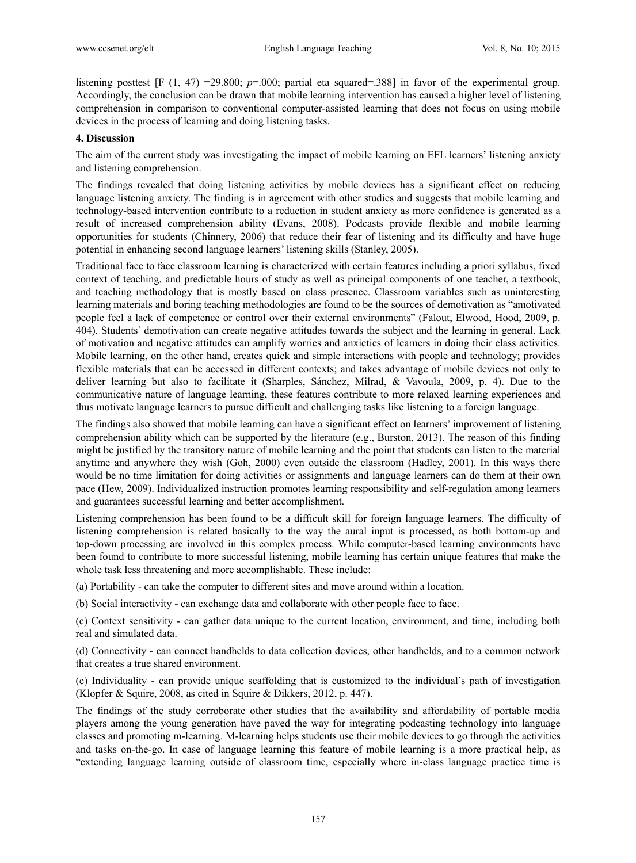listening posttest  $[F(1, 47) = 29.800; p=0.00;$  partial eta squared=.388] in favor of the experimental group. Accordingly, the conclusion can be drawn that mobile learning intervention has caused a higher level of listening comprehension in comparison to conventional computer-assisted learning that does not focus on using mobile devices in the process of learning and doing listening tasks.

#### **4. Discussion**

The aim of the current study was investigating the impact of mobile learning on EFL learners' listening anxiety and listening comprehension.

The findings revealed that doing listening activities by mobile devices has a significant effect on reducing language listening anxiety. The finding is in agreement with other studies and suggests that mobile learning and technology-based intervention contribute to a reduction in student anxiety as more confidence is generated as a result of increased comprehension ability (Evans, 2008). Podcasts provide flexible and mobile learning opportunities for students (Chinnery, 2006) that reduce their fear of listening and its difficulty and have huge potential in enhancing second language learners' listening skills (Stanley, 2005).

Traditional face to face classroom learning is characterized with certain features including a priori syllabus, fixed context of teaching, and predictable hours of study as well as principal components of one teacher, a textbook, and teaching methodology that is mostly based on class presence. Classroom variables such as uninteresting learning materials and boring teaching methodologies are found to be the sources of demotivation as "amotivated people feel a lack of competence or control over their external environments" (Falout, Elwood, Hood, 2009, p. 404). Students' demotivation can create negative attitudes towards the subject and the learning in general. Lack of motivation and negative attitudes can amplify worries and anxieties of learners in doing their class activities. Mobile learning, on the other hand, creates quick and simple interactions with people and technology; provides flexible materials that can be accessed in different contexts; and takes advantage of mobile devices not only to deliver learning but also to facilitate it (Sharples, Sánchez, Milrad, & Vavoula, 2009, p. 4). Due to the communicative nature of language learning, these features contribute to more relaxed learning experiences and thus motivate language learners to pursue difficult and challenging tasks like listening to a foreign language.

The findings also showed that mobile learning can have a significant effect on learners' improvement of listening comprehension ability which can be supported by the literature (e.g., Burston, 2013). The reason of this finding might be justified by the transitory nature of mobile learning and the point that students can listen to the material anytime and anywhere they wish (Goh, 2000) even outside the classroom (Hadley, 2001). In this ways there would be no time limitation for doing activities or assignments and language learners can do them at their own pace (Hew, 2009). Individualized instruction promotes learning responsibility and self-regulation among learners and guarantees successful learning and better accomplishment.

Listening comprehension has been found to be a difficult skill for foreign language learners. The difficulty of listening comprehension is related basically to the way the aural input is processed, as both bottom-up and top-down processing are involved in this complex process. While computer-based learning environments have been found to contribute to more successful listening, mobile learning has certain unique features that make the whole task less threatening and more accomplishable. These include:

(a) Portability - can take the computer to different sites and move around within a location.

(b) Social interactivity - can exchange data and collaborate with other people face to face.

(c) Context sensitivity - can gather data unique to the current location, environment, and time, including both real and simulated data.

(d) Connectivity - can connect handhelds to data collection devices, other handhelds, and to a common network that creates a true shared environment.

(e) Individuality - can provide unique scaffolding that is customized to the individual's path of investigation (Klopfer & Squire, 2008, as cited in Squire & Dikkers, 2012, p. 447).

The findings of the study corroborate other studies that the availability and affordability of portable media players among the young generation have paved the way for integrating podcasting technology into language classes and promoting m-learning. M-learning helps students use their mobile devices to go through the activities and tasks on-the-go. In case of language learning this feature of mobile learning is a more practical help, as "extending language learning outside of classroom time, especially where in-class language practice time is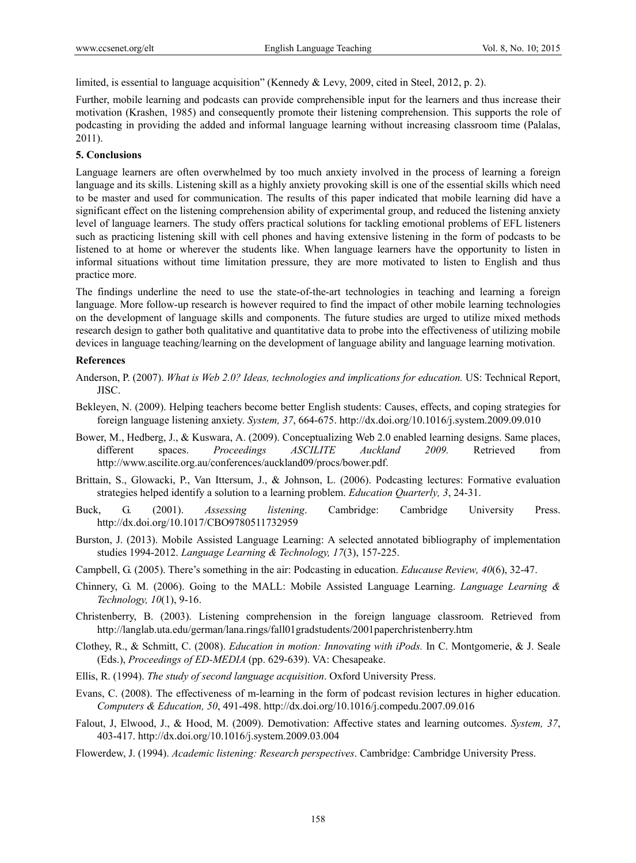limited, is essential to language acquisition" (Kennedy & Levy, 2009, cited in Steel, 2012, p. 2).

Further, mobile learning and podcasts can provide comprehensible input for the learners and thus increase their motivation (Krashen, 1985) and consequently promote their listening comprehension. This supports the role of podcasting in providing the added and informal language learning without increasing classroom time (Palalas, 2011).

#### **5. Conclusions**

Language learners are often overwhelmed by too much anxiety involved in the process of learning a foreign language and its skills. Listening skill as a highly anxiety provoking skill is one of the essential skills which need to be master and used for communication. The results of this paper indicated that mobile learning did have a significant effect on the listening comprehension ability of experimental group, and reduced the listening anxiety level of language learners. The study offers practical solutions for tackling emotional problems of EFL listeners such as practicing listening skill with cell phones and having extensive listening in the form of podcasts to be listened to at home or wherever the students like. When language learners have the opportunity to listen in informal situations without time limitation pressure, they are more motivated to listen to English and thus practice more.

The findings underline the need to use the state-of-the-art technologies in teaching and learning a foreign language. More follow-up research is however required to find the impact of other mobile learning technologies on the development of language skills and components. The future studies are urged to utilize mixed methods research design to gather both qualitative and quantitative data to probe into the effectiveness of utilizing mobile devices in language teaching/learning on the development of language ability and language learning motivation.

## **References**

- Anderson, P. (2007). *What is Web 2.0? Ideas, technologies and implications for education.* US: Technical Report, JISC.
- Bekleyen, N. (2009). Helping teachers become better English students: Causes, effects, and coping strategies for foreign language listening anxiety. *System, 37*, 664-675. http://dx.doi.org/10.1016/j.system.2009.09.010
- Bower, M., Hedberg, J., & Kuswara, A. (2009). Conceptualizing Web 2.0 enabled learning designs. Same places, different spaces. *Proceedings ASCILITE Auckland 2009.* Retrieved from http://www.ascilite.org.au/conferences/auckland09/procs/bower.pdf.
- Brittain, S., Glowacki, P., Van Ittersum, J., & Johnson, L. (2006). Podcasting lectures: Formative evaluation strategies helped identify a solution to a learning problem. *Education Quarterly, 3*, 24-31.
- Buck, G. (2001). *Assessing listening*. Cambridge: Cambridge University Press. http://dx.doi.org/10.1017/CBO9780511732959
- Burston, J. (2013). Mobile Assisted Language Learning: A selected annotated bibliography of implementation studies 1994-2012. *Language Learning & Technology, 17*(3), 157-225.
- Campbell, G. (2005). There's something in the air: Podcasting in education. *Educause Review, 40*(6), 32-47.
- Chinnery, G. M. (2006). Going to the MALL: Mobile Assisted Language Learning. *Language Learning & Technology, 10*(1), 9-16.
- Christenberry, B. (2003). Listening comprehension in the foreign language classroom. Retrieved from http://langlab.uta.edu/german/lana.rings/fall01gradstudents/2001paperchristenberry.htm
- Clothey, R., & Schmitt, C. (2008). *Education in motion: Innovating with iPods.* In C. Montgomerie, & J. Seale (Eds.), *Proceedings of ED-MEDIA* (pp. 629-639). VA: Chesapeake.
- Ellis, R. (1994). *The study of second language acquisition*. Oxford University Press.
- Evans, C. (2008). The effectiveness of m-learning in the form of podcast revision lectures in higher education. *Computers & Education, 50*, 491-498. http://dx.doi.org/10.1016/j.compedu.2007.09.016
- Falout, J, Elwood, J., & Hood, M. (2009). Demotivation: Affective states and learning outcomes. *System, 37*, 403-417. http://dx.doi.org/10.1016/j.system.2009.03.004
- Flowerdew, J. (1994). *Academic listening: Research perspectives*. Cambridge: Cambridge University Press.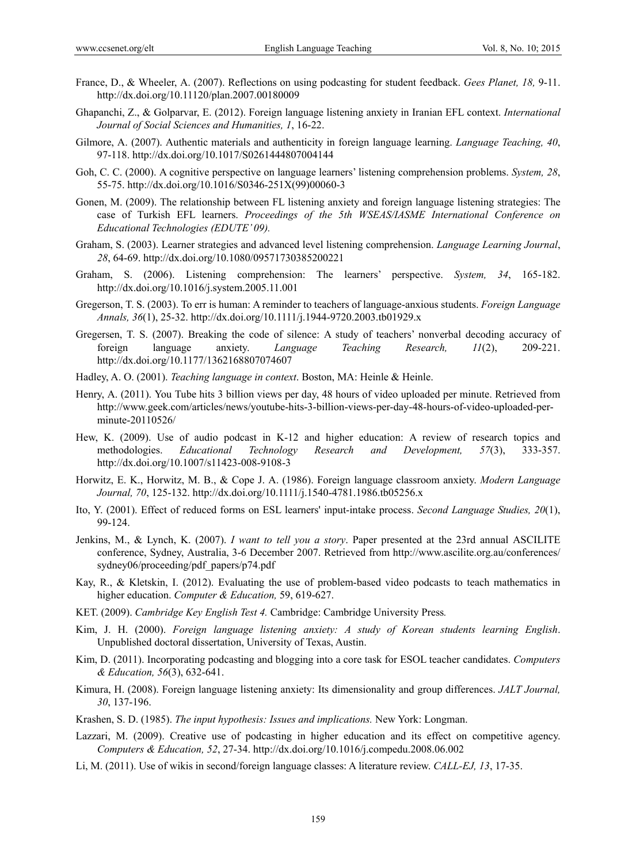- France, D., & Wheeler, A. (2007). Reflections on using podcasting for student feedback. *Gees Planet, 18,* 9-11. http://dx.doi.org/10.11120/plan.2007.00180009
- Ghapanchi, Z., & Golparvar, E. (2012). Foreign language listening anxiety in Iranian EFL context. *International Journal of Social Sciences and Humanities, 1*, 16-22.
- Gilmore, A. (2007). Authentic materials and authenticity in foreign language learning. *Language Teaching, 40*, 97-118. http://dx.doi.org/10.1017/S0261444807004144
- Goh, C. C. (2000). A cognitive perspective on language learners' listening comprehension problems. *System, 28*, 55-75. http://dx.doi.org/10.1016/S0346-251X(99)00060-3
- Gonen, M. (2009). The relationship between FL listening anxiety and foreign language listening strategies: The case of Turkish EFL learners. *Proceedings of the 5th WSEAS/IASME International Conference on Educational Technologies (EDUTE' 09).*
- Graham, S. (2003). Learner strategies and advanced level listening comprehension. *Language Learning Journal*, *28*, 64-69. http://dx.doi.org/10.1080/09571730385200221
- Graham, S. (2006). Listening comprehension: The learners' perspective. *System, 34*, 165-182. http://dx.doi.org/10.1016/j.system.2005.11.001
- Gregerson, T. S. (2003). To err is human: A reminder to teachers of language-anxious students. *Foreign Language Annals, 36*(1), 25-32. http://dx.doi.org/10.1111/j.1944-9720.2003.tb01929.x
- Gregersen, T. S. (2007). Breaking the code of silence: A study of teachers' nonverbal decoding accuracy of foreign language anxiety. *Language Teaching Research, 11*(2), 209-221. http://dx.doi.org/10.1177/1362168807074607
- Hadley, A. O. (2001). *Teaching language in context*. Boston, MA: Heinle & Heinle.
- Henry, A. (2011). You Tube hits 3 billion views per day, 48 hours of video uploaded per minute. Retrieved from http://www.geek.com/articles/news/youtube-hits-3-billion-views-per-day-48-hours-of-video-uploaded-perminute-20110526/
- Hew, K. (2009). Use of audio podcast in K-12 and higher education: A review of research topics and methodologies. *Educational Technology Research and Development, 57*(3), 333-357. http://dx.doi.org/10.1007/s11423-008-9108-3
- Horwitz, E. K., Horwitz, M. B., & Cope J. A. (1986). Foreign language classroom anxiety. *Modern Language Journal, 70*, 125-132. http://dx.doi.org/10.1111/j.1540-4781.1986.tb05256.x
- Ito, Y. (2001). Effect of reduced forms on ESL learners' input-intake process. *Second Language Studies, 20*(1), 99-124.
- Jenkins, M., & Lynch, K. (2007). *I want to tell you a story*. Paper presented at the 23rd annual ASCILITE conference, Sydney, Australia, 3-6 December 2007. Retrieved from http://www.ascilite.org.au/conferences/ sydney06/proceeding/pdf\_papers/p74.pdf
- Kay, R., & Kletskin, I. (2012). Evaluating the use of problem-based video podcasts to teach mathematics in higher education. *Computer & Education,* 59, 619-627.
- KET. (2009). *Cambridge Key English Test 4.* Cambridge: Cambridge University Press*.*
- Kim, J. H. (2000). *Foreign language listening anxiety: A study of Korean students learning English*. Unpublished doctoral dissertation, University of Texas, Austin.
- Kim, D. (2011). Incorporating podcasting and blogging into a core task for ESOL teacher candidates. *Computers & Education, 56*(3), 632-641.
- Kimura, H. (2008). Foreign language listening anxiety: Its dimensionality and group differences. *JALT Journal, 30*, 137-196.
- Krashen, S. D. (1985). *The input hypothesis: Issues and implications.* New York: Longman.
- Lazzari, M. (2009). Creative use of podcasting in higher education and its effect on competitive agency. *Computers & Education, 52*, 27-34. http://dx.doi.org/10.1016/j.compedu.2008.06.002
- Li, M. (2011). Use of wikis in second/foreign language classes: A literature review. *CALL-EJ, 13*, 17-35.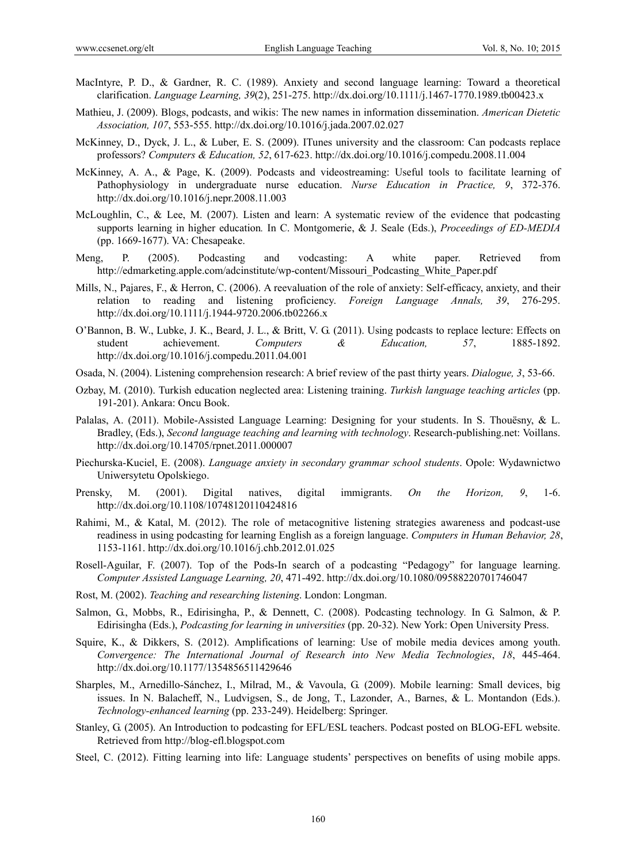- MacIntyre, P. D., & Gardner, R. C. (1989). Anxiety and second language learning: Toward a theoretical clarification. *Language Learning, 39*(2), 251-275. http://dx.doi.org/10.1111/j.1467-1770.1989.tb00423.x
- Mathieu, J. (2009). Blogs, podcasts, and wikis: The new names in information dissemination. *American Dietetic Association, 107*, 553-555. http://dx.doi.org/10.1016/j.jada.2007.02.027
- McKinney, D., Dyck, J. L., & Luber, E. S. (2009). ITunes university and the classroom: Can podcasts replace professors? *Computers & Education, 52*, 617-623. http://dx.doi.org/10.1016/j.compedu.2008.11.004
- McKinney, A. A., & Page, K. (2009). Podcasts and videostreaming: Useful tools to facilitate learning of Pathophysiology in undergraduate nurse education. *Nurse Education in Practice, 9*, 372-376. http://dx.doi.org/10.1016/j.nepr.2008.11.003
- McLoughlin, C., & Lee, M. (2007). Listen and learn: A systematic review of the evidence that podcasting supports learning in higher education*.* In C. Montgomerie, & J. Seale (Eds.), *Proceedings of ED-MEDIA* (pp. 1669-1677). VA: Chesapeake.
- Meng, P. (2005). Podcasting and vodcasting: A white paper. Retrieved from http://edmarketing.apple.com/adcinstitute/wp-content/Missouri\_Podcasting\_White\_Paper.pdf
- Mills, N., Pajares, F., & Herron, C. (2006). A reevaluation of the role of anxiety: Self-efficacy, anxiety, and their relation to reading and listening proficiency. *Foreign Language Annals, 39*, 276-295. http://dx.doi.org/10.1111/j.1944-9720.2006.tb02266.x
- O'Bannon, B. W., Lubke, J. K., Beard, J. L., & Britt, V. G. (2011). Using podcasts to replace lecture: Effects on student achievement. *Computers & Education, 57*, 1885-1892. http://dx.doi.org/10.1016/j.compedu.2011.04.001
- Osada, N. (2004). Listening comprehension research: A brief review of the past thirty years. *Dialogue, 3*, 53-66.
- Ozbay, M. (2010). Turkish education neglected area: Listening training. *Turkish language teaching articles* (pp. 191-201). Ankara: Oncu Book.
- Palalas, A. (2011). Mobile-Assisted Language Learning: Designing for your students. In S. Thouësny, & L. Bradley, (Eds.), *Second language teaching and learning with technology*. Research-publishing.net: Voillans. http://dx.doi.org/10.14705/rpnet.2011.000007
- Piechurska-Kuciel, E. (2008). *Language anxiety in secondary grammar school students*. Opole: Wydawnictwo Uniwersytetu Opolskiego.
- Prensky, M. (2001). Digital natives, digital immigrants. *On the Horizon, 9*, 1-6. http://dx.doi.org/10.1108/10748120110424816
- Rahimi, M., & Katal, M. (2012). The role of metacognitive listening strategies awareness and podcast-use readiness in using podcasting for learning English as a foreign language. *Computers in Human Behavior, 28*, 1153-1161. http://dx.doi.org/10.1016/j.chb.2012.01.025
- Rosell-Aguilar, F. (2007). Top of the Pods-In search of a podcasting "Pedagogy" for language learning. *Computer Assisted Language Learning, 20*, 471-492. http://dx.doi.org/10.1080/09588220701746047
- Rost, M. (2002). *Teaching and researching listening*. London: Longman.
- Salmon, G., Mobbs, R., Edirisingha, P., & Dennett, C. (2008). Podcasting technology*.* In G. Salmon, & P. Edirisingha (Eds.), *Podcasting for learning in universities* (pp. 20-32). New York: Open University Press.
- Squire, K., & Dikkers, S. (2012). Amplifications of learning: Use of mobile media devices among youth. *Convergence: The International Journal of Research into New Media Technologies*, *18*, 445-464. http://dx.doi.org/10.1177/1354856511429646
- Sharples, M., Arnedillo-Sánchez, I., Milrad, M., & Vavoula, G. (2009). Mobile learning: Small devices, big issues. In N. Balacheff, N., Ludvigsen, S., de Jong, T., Lazonder, A., Barnes, & L. Montandon (Eds.). *Technology-enhanced learning* (pp. 233-249). Heidelberg: Springer.
- Stanley, G. (2005). An Introduction to podcasting for EFL/ESL teachers. Podcast posted on BLOG-EFL website. Retrieved from http://blog-efl.blogspot.com
- Steel, C. (2012). Fitting learning into life: Language students' perspectives on benefits of using mobile apps.